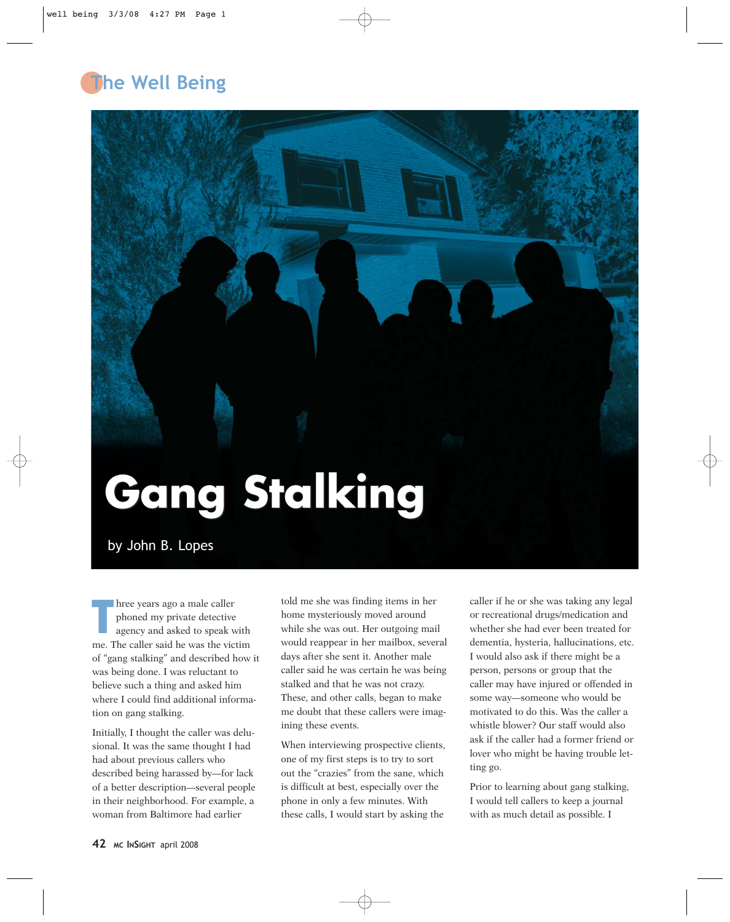## **The Well Being**



## by John B. Lopes

**T** hree years ago a male caller phoned my private detective agency and asked to speak with me. The caller said he was the victim of "gang stalking" and described how it was being done. I was reluctant to believe such a thing and asked him where I could find additional information on gang stalking.

Initially, I thought the caller was delusional. It was the same thought I had had about previous callers who described being harassed by—for lack of a better description—several people in their neighborhood. For example, a woman from Baltimore had earlier

told me she was finding items in her home mysteriously moved around while she was out. Her outgoing mail would reappear in her mailbox, several days after she sent it. Another male caller said he was certain he was being stalked and that he was not crazy. These, and other calls, began to make me doubt that these callers were imagining these events.

When interviewing prospective clients, one of my first steps is to try to sort out the "crazies" from the sane, which is difficult at best, especially over the phone in only a few minutes. With these calls, I would start by asking the

caller if he or she was taking any legal or recreational drugs/medication and whether she had ever been treated for dementia, hysteria, hallucinations, etc. I would also ask if there might be a person, persons or group that the caller may have injured or offended in some way—someone who would be motivated to do this. Was the caller a whistle blower? Our staff would also ask if the caller had a former friend or lover who might be having trouble letting go.

Prior to learning about gang stalking, I would tell callers to keep a journal with as much detail as possible. I